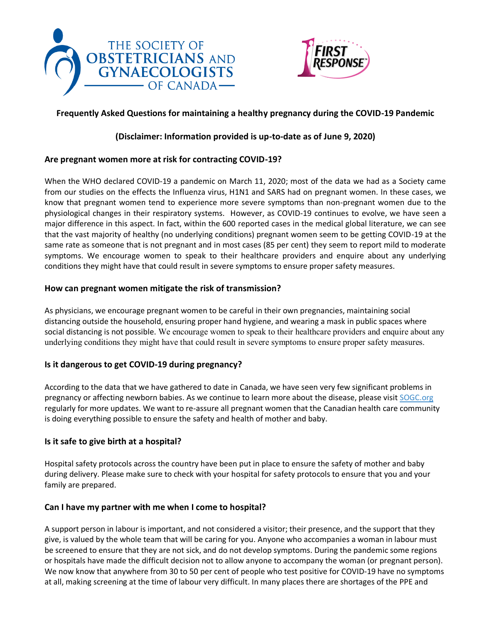



# **Frequently Asked Questions for maintaining a healthy pregnancy during the COVID-19 Pandemic**

## **(Disclaimer: Information provided is up-to-date as of June 9, 2020)**

## **Are pregnant women more at risk for contracting COVID-19?**

When the WHO declared COVID-19 a pandemic on March 11, 2020; most of the data we had as a Society came from our studies on the effects the Influenza virus, H1N1 and SARS had on pregnant women. In these cases, we know that pregnant women tend to experience more severe symptoms than non-pregnant women due to the physiological changes in their respiratory systems. However, as COVID-19 continues to evolve, we have seen a major difference in this aspect. In fact, within the 600 reported cases in the medical global literature, we can see that the vast majority of healthy (no underlying conditions) pregnant women seem to be getting COVID-19 at the same rate as someone that is not pregnant and in most cases (85 per cent) they seem to report mild to moderate symptoms. We encourage women to speak to their healthcare providers and enquire about any underlying conditions they might have that could result in severe symptoms to ensure proper safety measures.

#### **How can pregnant women mitigate the risk of transmission?**

As physicians, we encourage pregnant women to be careful in their own pregnancies, maintaining social distancing outside the household, ensuring proper hand hygiene, and wearing a mask in public spaces where social distancing is not possible. We encourage women to speak to their healthcare providers and enquire about any underlying conditions they might have that could result in severe symptoms to ensure proper safety measures.

## **Is it dangerous to get COVID-19 during pregnancy?**

According to the data that we have gathered to date in Canada, we have seen very few significant problems in pregnancy or affecting newborn babies. As we continue to learn more about the disease, please visit [SOGC.org](https://sogc.org/) regularly for more updates. We want to re-assure all pregnant women that the Canadian health care community is doing everything possible to ensure the safety and health of mother and baby.

#### **Is it safe to give birth at a hospital?**

Hospital safety protocols across the country have been put in place to ensure the safety of mother and baby during delivery. Please make sure to check with your hospital for safety protocols to ensure that you and your family are prepared.

## **Can I have my partner with me when I come to hospital?**

A support person in labour is important, and not considered a visitor; their presence, and the support that they give, is valued by the whole team that will be caring for you. Anyone who accompanies a woman in labour must be screened to ensure that they are not sick, and do not develop symptoms. During the pandemic some regions or hospitals have made the difficult decision not to allow anyone to accompany the woman (or pregnant person). We now know that anywhere from 30 to 50 per cent of people who test positive for COVID-19 have no symptoms at all, making screening at the time of labour very difficult. In many places there are shortages of the PPE and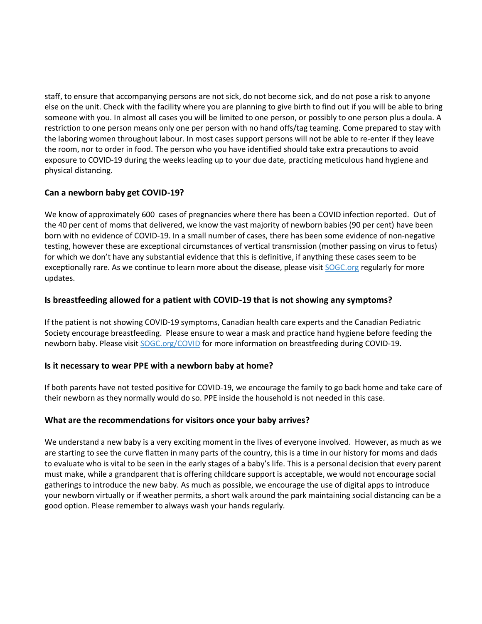staff, to ensure that accompanying persons are not sick, do not become sick, and do not pose a risk to anyone else on the unit. Check with the facility where you are planning to give birth to find out if you will be able to bring someone with you. In almost all cases you will be limited to one person, or possibly to one person plus a doula. A restriction to one person means only one per person with no hand offs/tag teaming. Come prepared to stay with the laboring women throughout labour. In most cases support persons will not be able to re-enter if they leave the room, nor to order in food. The person who you have identified should take extra precautions to avoid exposure to COVID-19 during the weeks leading up to your due date, practicing meticulous hand hygiene and physical distancing.

## **Can a newborn baby get COVID-19?**

We know of approximately 600 cases of pregnancies where there has been a COVID infection reported. Out of the 40 per cent of moms that delivered, we know the vast majority of newborn babies (90 per cent) have been born with no evidence of COVID-19. In a small number of cases, there has been some evidence of non-negative testing, however these are exceptional circumstances of vertical transmission (mother passing on virus to fetus) for which we don't have any substantial evidence that this is definitive, if anything these cases seem to be exceptionally rare. As we continue to learn more about the disease, please visit [SOGC.org](https://sogc.org/) regularly for more updates.

## **Is breastfeeding allowed for a patient with COVID-19 that is not showing any symptoms?**

If the patient is not showing COVID-19 symptoms, Canadian health care experts and the Canadian Pediatric Society encourage breastfeeding. Please ensure to wear a mask and practice hand hygiene before feeding the newborn baby. Please visit [SOGC.org/COVID](https://sogc.org/COVID?fbclid=IwAR0Nn8wcq2TtOkfaPuDLS1tZHofYBrIBx0mfWBKoT4VkoVpWVgFQz70zc_U) for more information on breastfeeding during COVID-19.

## **Is it necessary to wear PPE with a newborn baby at home?**

If both parents have not tested positive for COVID-19, we encourage the family to go back home and take care of their newborn as they normally would do so. PPE inside the household is not needed in this case.

## **What are the recommendations for visitors once your baby arrives?**

We understand a new baby is a very exciting moment in the lives of everyone involved. However, as much as we are starting to see the curve flatten in many parts of the country, this is a time in our history for moms and dads to evaluate who is vital to be seen in the early stages of a baby's life. This is a personal decision that every parent must make, while a grandparent that is offering childcare support is acceptable, we would not encourage social gatherings to introduce the new baby. As much as possible, we encourage the use of digital apps to introduce your newborn virtually or if weather permits, a short walk around the park maintaining social distancing can be a good option. Please remember to always wash your hands regularly.